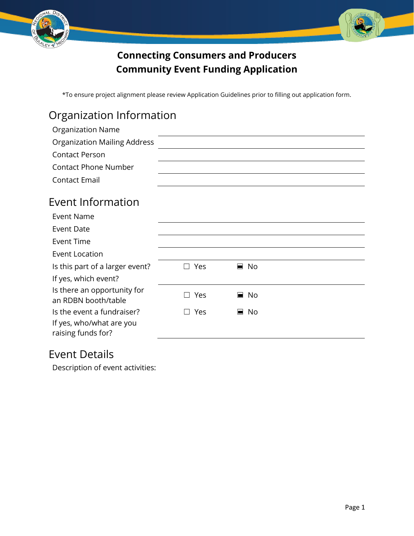



#### **Connecting Consumers and Producers Community Event Funding Application**

\*To ensure project alignment please review Application Guidelines prior to filling out application form.

### Organization Information

| <b>Organization Name</b>                           |                                 |                   |  |
|----------------------------------------------------|---------------------------------|-------------------|--|
| <b>Organization Mailing Address</b>                |                                 |                   |  |
| <b>Contact Person</b>                              |                                 |                   |  |
| <b>Contact Phone Number</b>                        |                                 |                   |  |
| <b>Contact Email</b>                               |                                 |                   |  |
| Event Information                                  |                                 |                   |  |
| <b>Event Name</b>                                  |                                 |                   |  |
| <b>Event Date</b>                                  |                                 |                   |  |
| <b>Event Time</b>                                  |                                 |                   |  |
| <b>Event Location</b>                              |                                 |                   |  |
| Is this part of a larger event?                    | $\Box$ Yes                      | $\blacksquare$ No |  |
| If yes, which event?                               |                                 |                   |  |
| Is there an opportunity for<br>an RDBN booth/table | Yes<br>$\overline{\phantom{a}}$ | No<br>▅           |  |
| Is the event a fundraiser?                         | Yes                             | No<br>н.          |  |
| If yes, who/what are you                           |                                 |                   |  |
| raising funds for?                                 |                                 |                   |  |

#### Event Details

Description of event activities: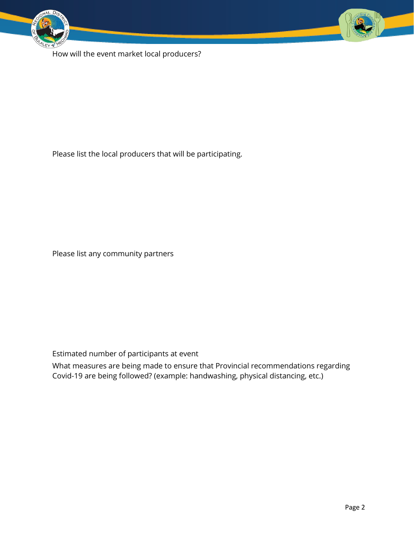



How will the event market local producers?

Please list the local producers that will be participating.

Please list any community partners

Estimated number of participants at event

What measures are being made to ensure that Provincial recommendations regarding Covid-19 are being followed? (example: handwashing, physical distancing, etc.)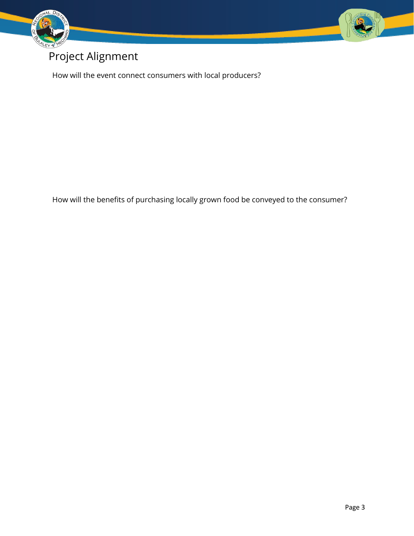

# Project Alignment

How will the event connect consumers with local producers?

How will the benefits of purchasing locally grown food be conveyed to the consumer?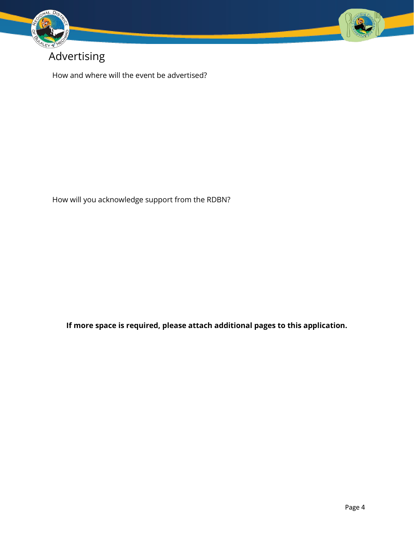

### Advertising

How and where will the event be advertised?

How will you acknowledge support from the RDBN?

**If more space is required, please attach additional pages to this application.**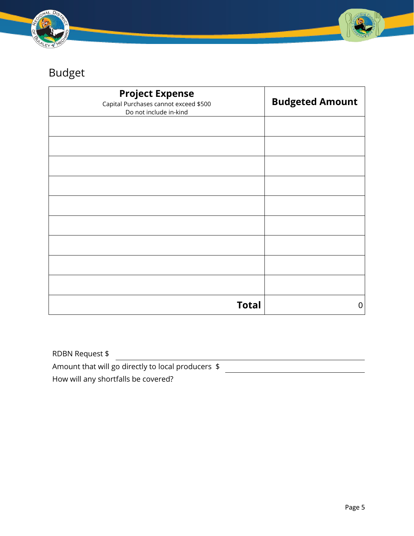



# Budget

| <b>Project Expense</b><br>Capital Purchases cannot exceed \$500<br>Do not include in-kind | <b>Budgeted Amount</b> |
|-------------------------------------------------------------------------------------------|------------------------|
|                                                                                           |                        |
|                                                                                           |                        |
|                                                                                           |                        |
|                                                                                           |                        |
|                                                                                           |                        |
|                                                                                           |                        |
|                                                                                           |                        |
|                                                                                           |                        |
|                                                                                           |                        |
| <b>Total</b>                                                                              | 0                      |

| RDBN Request \$                                    |  |
|----------------------------------------------------|--|
| Amount that will go directly to local producers \$ |  |
| How will any shortfalls be covered?                |  |